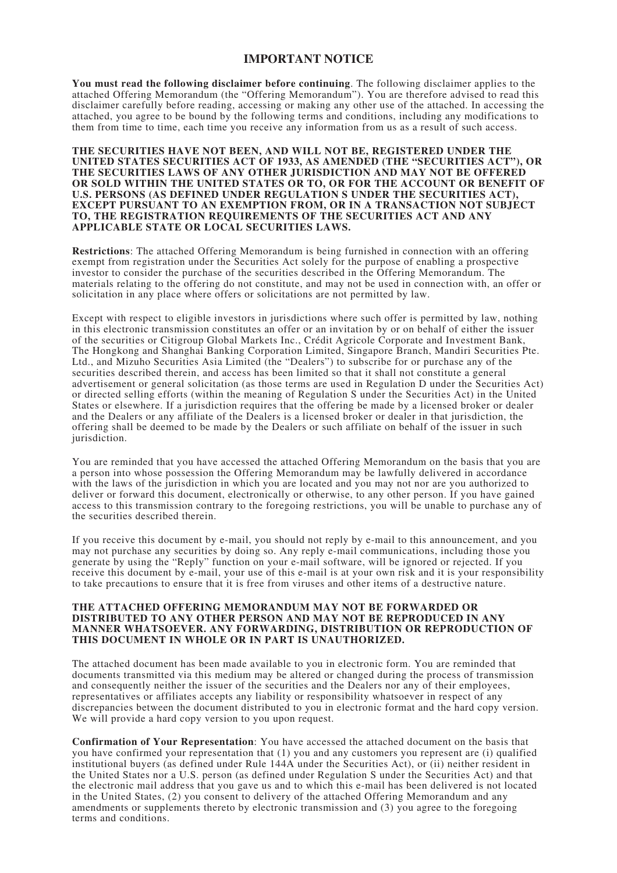# **IMPORTANT NOTICE**

**You must read the following disclaimer before continuing**. The following disclaimer applies to the attached Offering Memorandum (the "Offering Memorandum"). You are therefore advised to read this disclaimer carefully before reading, accessing or making any other use of the attached. In accessing the attached, you agree to be bound by the following terms and conditions, including any modifications to them from time to time, each time you receive any information from us as a result of such access.

#### **THE SECURITIES HAVE NOT BEEN, AND WILL NOT BE, REGISTERED UNDER THE UNITED STATES SECURITIES ACT OF 1933, AS AMENDED (THE "SECURITIES ACT"), OR THE SECURITIES LAWS OF ANY OTHER JURISDICTION AND MAY NOT BE OFFERED OR SOLD WITHIN THE UNITED STATES OR TO, OR FOR THE ACCOUNT OR BENEFIT OF U.S. PERSONS (AS DEFINED UNDER REGULATION S UNDER THE SECURITIES ACT), EXCEPT PURSUANT TO AN EXEMPTION FROM, OR IN A TRANSACTION NOT SUBJECT TO, THE REGISTRATION REQUIREMENTS OF THE SECURITIES ACT AND ANY APPLICABLE STATE OR LOCAL SECURITIES LAWS.**

**Restrictions**: The attached Offering Memorandum is being furnished in connection with an offering exempt from registration under the Securities Act solely for the purpose of enabling a prospective investor to consider the purchase of the securities described in the Offering Memorandum. The materials relating to the offering do not constitute, and may not be used in connection with, an offer or solicitation in any place where offers or solicitations are not permitted by law.

Except with respect to eligible investors in jurisdictions where such offer is permitted by law, nothing in this electronic transmission constitutes an offer or an invitation by or on behalf of either the issuer of the securities or Citigroup Global Markets Inc., Crédit Agricole Corporate and Investment Bank, The Hongkong and Shanghai Banking Corporation Limited, Singapore Branch, Mandiri Securities Pte. Ltd., and Mizuho Securities Asia Limited (the "Dealers") to subscribe for or purchase any of the securities described therein, and access has been limited so that it shall not constitute a general advertisement or general solicitation (as those terms are used in Regulation D under the Securities Act) or directed selling efforts (within the meaning of Regulation S under the Securities Act) in the United States or elsewhere. If a jurisdiction requires that the offering be made by a licensed broker or dealer and the Dealers or any affiliate of the Dealers is a licensed broker or dealer in that jurisdiction, the offering shall be deemed to be made by the Dealers or such affiliate on behalf of the issuer in such jurisdiction.

You are reminded that you have accessed the attached Offering Memorandum on the basis that you are a person into whose possession the Offering Memorandum may be lawfully delivered in accordance with the laws of the jurisdiction in which you are located and you may not nor are you authorized to deliver or forward this document, electronically or otherwise, to any other person. If you have gained access to this transmission contrary to the foregoing restrictions, you will be unable to purchase any of the securities described therein.

If you receive this document by e-mail, you should not reply by e-mail to this announcement, and you may not purchase any securities by doing so. Any reply e-mail communications, including those you generate by using the "Reply" function on your e-mail software, will be ignored or rejected. If you receive this document by e-mail, your use of this e-mail is at your own risk and it is your responsibility to take precautions to ensure that it is free from viruses and other items of a destructive nature.

### **THE ATTACHED OFFERING MEMORANDUM MAY NOT BE FORWARDED OR DISTRIBUTED TO ANY OTHER PERSON AND MAY NOT BE REPRODUCED IN ANY MANNER WHATSOEVER. ANY FORWARDING, DISTRIBUTION OR REPRODUCTION OF THIS DOCUMENT IN WHOLE OR IN PART IS UNAUTHORIZED.**

The attached document has been made available to you in electronic form. You are reminded that documents transmitted via this medium may be altered or changed during the process of transmission and consequently neither the issuer of the securities and the Dealers nor any of their employees, representatives or affiliates accepts any liability or responsibility whatsoever in respect of any discrepancies between the document distributed to you in electronic format and the hard copy version. We will provide a hard copy version to you upon request.

**Confirmation of Your Representation**: You have accessed the attached document on the basis that you have confirmed your representation that (1) you and any customers you represent are (i) qualified institutional buyers (as defined under Rule 144A under the Securities Act), or (ii) neither resident in the United States nor a U.S. person (as defined under Regulation S under the Securities Act) and that the electronic mail address that you gave us and to which this e-mail has been delivered is not located in the United States, (2) you consent to delivery of the attached Offering Memorandum and any amendments or supplements thereto by electronic transmission and (3) you agree to the foregoing terms and conditions.